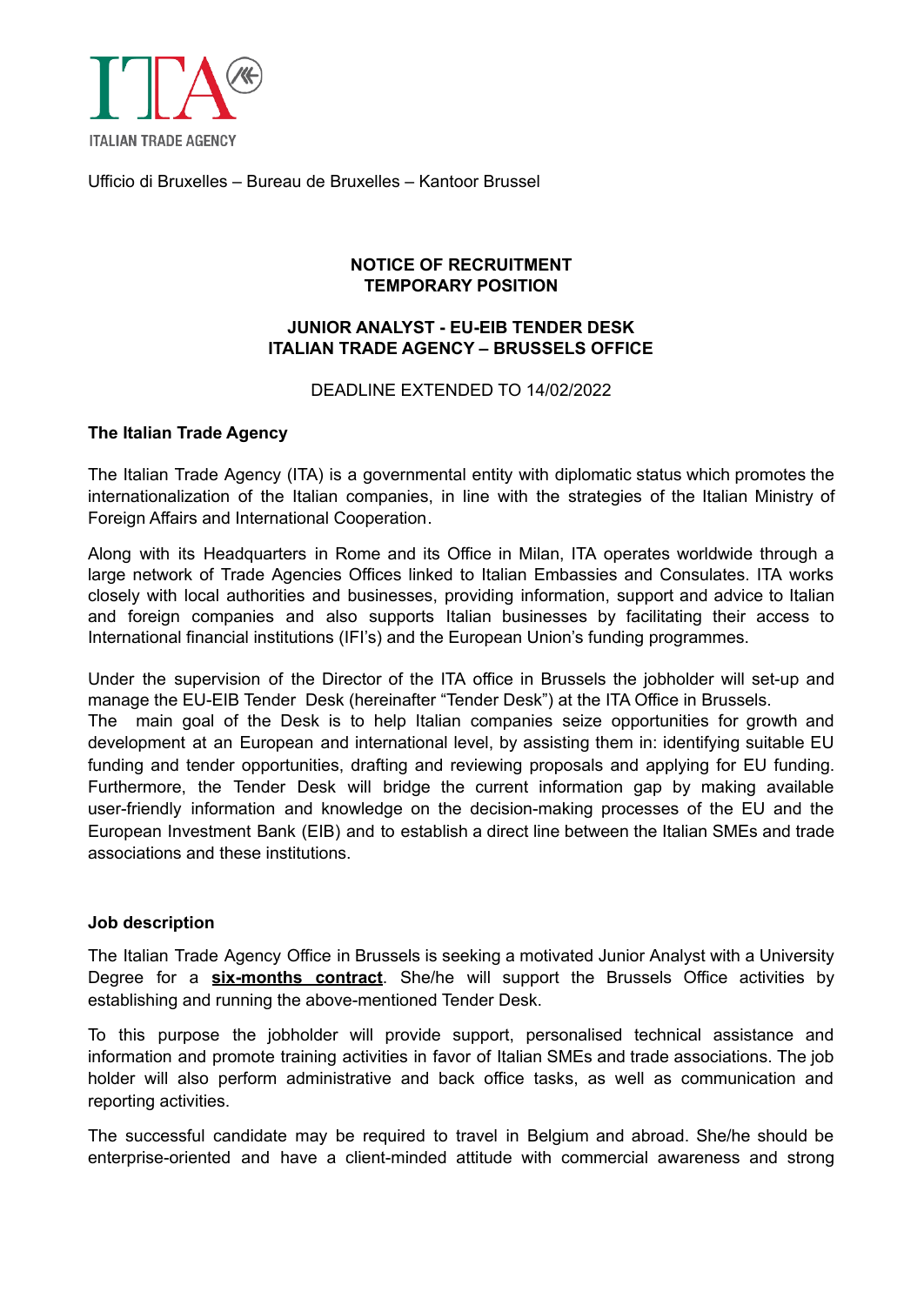

Ufficio di Bruxelles – Bureau de Bruxelles – Kantoor Brussel

# **NOTICE OF RECRUITMENT TEMPORARY POSITION**

## **JUNIOR ANALYST - EU-EIB TENDER DESK ITALIAN TRADE AGENCY – BRUSSELS OFFICE**

## DEADLINE EXTENDED TO 14/02/2022

## **The Italian Trade Agency**

The Italian Trade Agency (ITA) is a governmental entity with diplomatic status which promotes the internationalization of the Italian companies, in line with the strategies of the Italian Ministry of Foreign Affairs and International Cooperation.

Along with its Headquarters in Rome and its Office in Milan, ITA operates worldwide through a large network of Trade Agencies Offices linked to Italian Embassies and Consulates. ITA works closely with local authorities and businesses, providing information, support and advice to Italian and foreign companies and also supports Italian businesses by facilitating their access to International financial institutions (IFI's) and the European Union's funding programmes.

Under the supervision of the Director of the ITA office in Brussels the jobholder will set-up and manage the EU-EIB Tender Desk (hereinafter "Tender Desk") at the ITA Office in Brussels.

The main goal of the Desk is to help Italian companies seize opportunities for growth and development at an European and international level, by assisting them in: identifying suitable EU funding and tender opportunities, drafting and reviewing proposals and applying for EU funding. Furthermore, the Tender Desk will bridge the current information gap by making available user-friendly information and knowledge on the decision-making processes of the EU and the European Investment Bank (EIB) and to establish a direct line between the Italian SMEs and trade associations and these institutions.

### **Job description**

The Italian Trade Agency Office in Brussels is seeking a motivated Junior Analyst with a University Degree for a **six-months contract**. She/he will support the Brussels Office activities by establishing and running the above-mentioned Tender Desk.

To this purpose the jobholder will provide support, personalised technical assistance and information and promote training activities in favor of Italian SMEs and trade associations. The job holder will also perform administrative and back office tasks, as well as communication and reporting activities.

The successful candidate may be required to travel in Belgium and abroad. She/he should be enterprise-oriented and have a client-minded attitude with commercial awareness and strong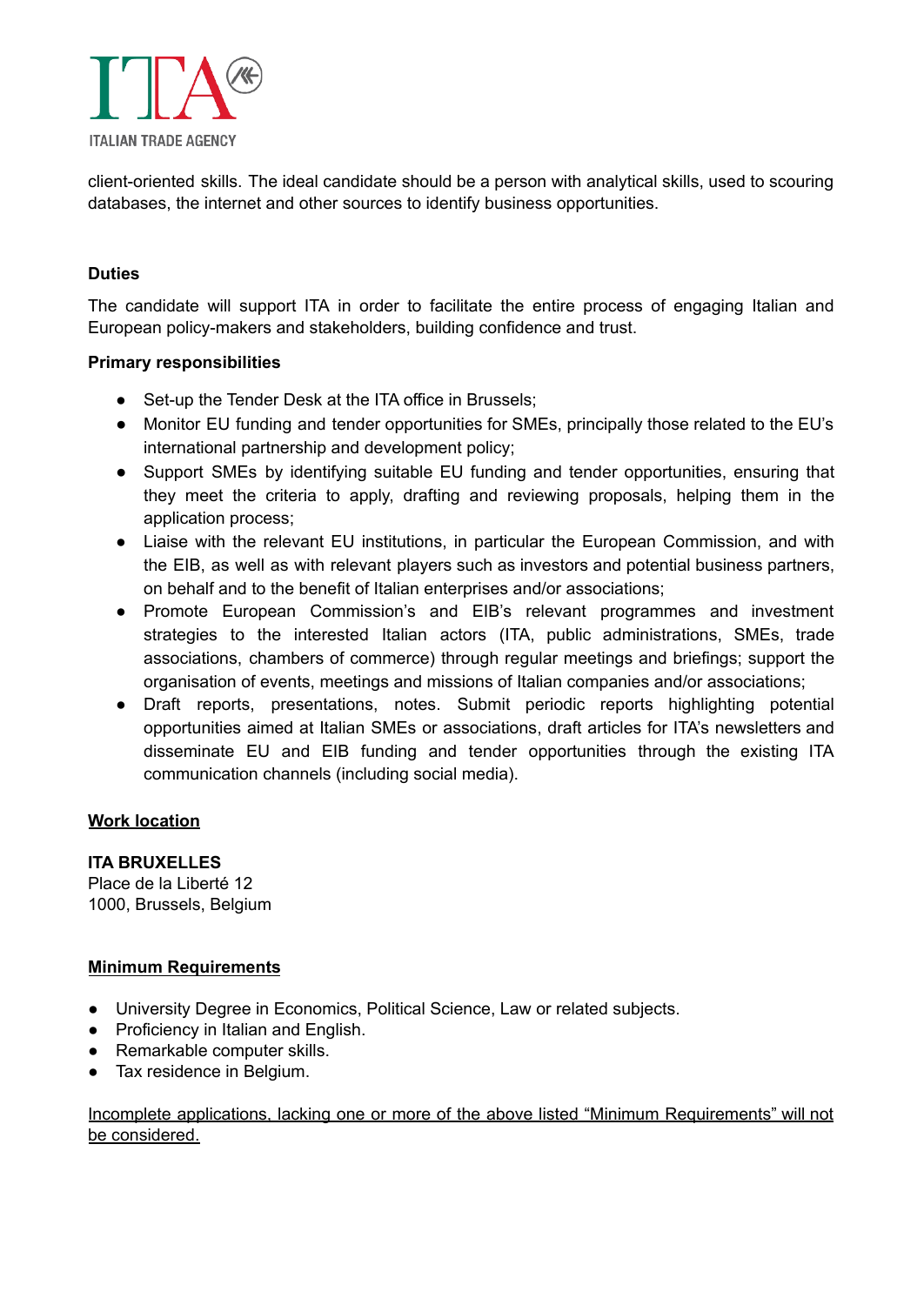

client-oriented skills. The ideal candidate should be a person with analytical skills, used to scouring databases, the internet and other sources to identify business opportunities.

# **Duties**

The candidate will support ITA in order to facilitate the entire process of engaging Italian and European policy-makers and stakeholders, building confidence and trust.

## **Primary responsibilities**

- Set-up the Tender Desk at the ITA office in Brussels:
- Monitor EU funding and tender opportunities for SMEs, principally those related to the EU's international partnership and development policy;
- Support SMEs by identifying suitable EU funding and tender opportunities, ensuring that they meet the criteria to apply, drafting and reviewing proposals, helping them in the application process;
- Liaise with the relevant EU institutions, in particular the European Commission, and with the EIB, as well as with relevant players such as investors and potential business partners, on behalf and to the benefit of Italian enterprises and/or associations;
- Promote European Commission's and EIB's relevant programmes and investment strategies to the interested Italian actors (ITA, public administrations, SMEs, trade associations, chambers of commerce) through regular meetings and briefings; support the organisation of events, meetings and missions of Italian companies and/or associations;
- Draft reports, presentations, notes. Submit periodic reports highlighting potential opportunities aimed at Italian SMEs or associations, draft articles for ITA's newsletters and disseminate EU and EIB funding and tender opportunities through the existing ITA communication channels (including social media).

# **Work location**

**ITA BRUXELLES** Place de la Liberté 12 1000, Brussels, Belgium

# **Minimum Requirements**

- University Degree in Economics, Political Science, Law or related subjects.
- **●** Proficiency in Italian and English.
- **●** Remarkable computer skills.
- **●** Tax residence in Belgium.

## Incomplete applications, lacking one or more of the above listed "Minimum Requirements" will not be considered.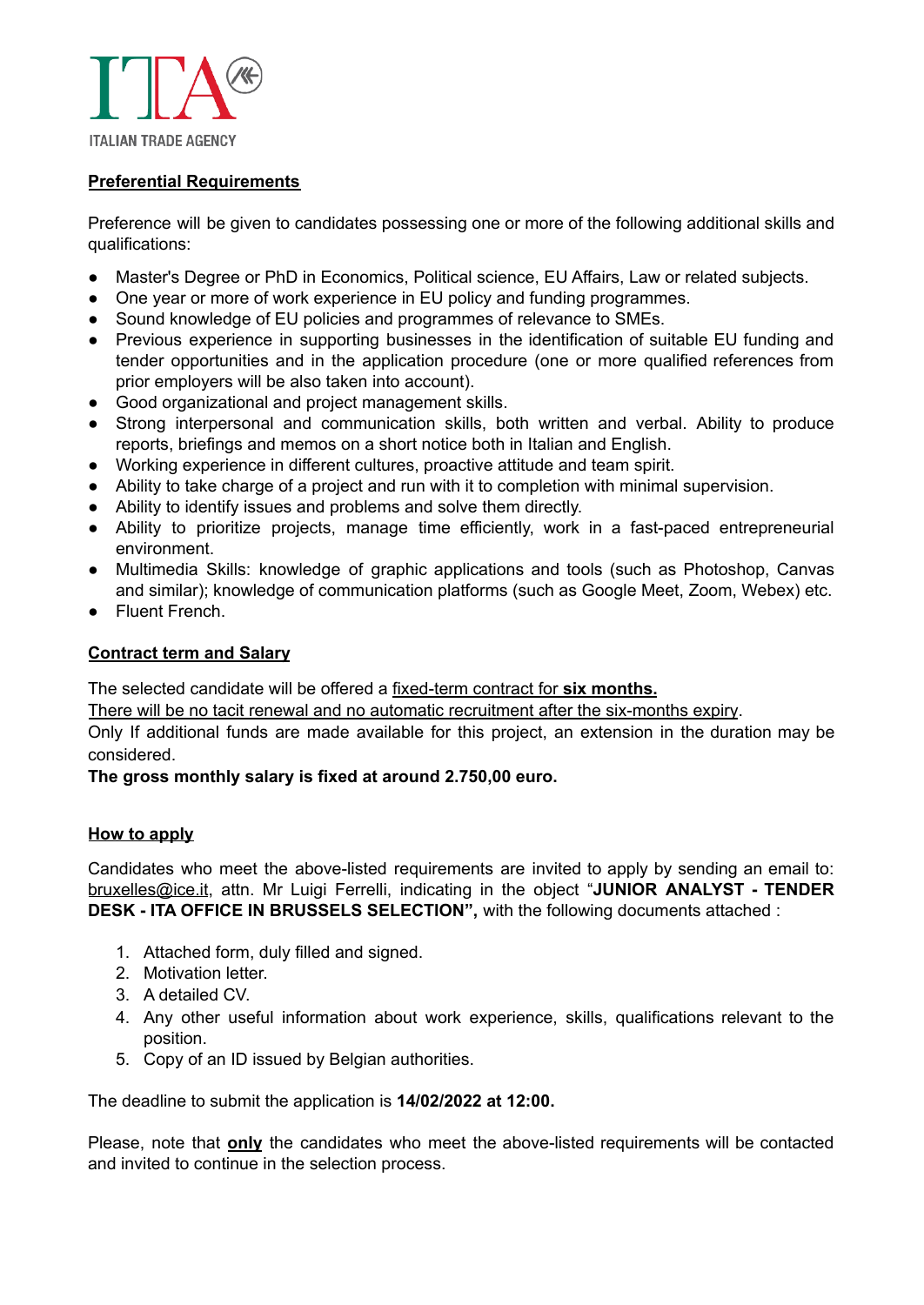

# **Preferential Requirements**

Preference will be given to candidates possessing one or more of the following additional skills and qualifications:

- Master's Degree or PhD in Economics, Political science, EU Affairs, Law or related subjects.
- One year or more of work experience in EU policy and funding programmes.
- Sound knowledge of EU policies and programmes of relevance to SMEs.
- Previous experience in supporting businesses in the identification of suitable EU funding and tender opportunities and in the application procedure (one or more qualified references from prior employers will be also taken into account).
- Good organizational and project management skills.
- Strong interpersonal and communication skills, both written and verbal. Ability to produce reports, briefings and memos on a short notice both in Italian and English.
- Working experience in different cultures, proactive attitude and team spirit.
- Ability to take charge of a project and run with it to completion with minimal supervision.
- Ability to identify issues and problems and solve them directly.
- Ability to prioritize projects, manage time efficiently, work in a fast-paced entrepreneurial environment.
- Multimedia Skills: knowledge of graphic applications and tools (such as Photoshop, Canvas and similar); knowledge of communication platforms (such as Google Meet, Zoom, Webex) etc.
- Fluent French.

#### **Contract term and Salary**

The selected candidate will be offered a fixed-term contract for **six months.**

There will be no tacit renewal and no automatic recruitment after the six-months expiry.

Only If additional funds are made available for this project, an extension in the duration may be considered.

#### **The gross monthly salary is fixed at around 2.750,00 euro.**

#### **How to apply**

Candidates who meet the above-listed requirements are invited to apply by sending an email to: [bruxelles@ice.it](mailto:bruxelles@ice.it), attn. Mr Luigi Ferrelli, indicating in the object "**JUNIOR ANALYST - TENDER DESK - ITA OFFICE IN BRUSSELS SELECTION",** with the following documents attached :

- 1. Attached form, duly filled and signed.
- 2. Motivation letter.
- 3. A detailed CV.
- 4. Any other useful information about work experience, skills, qualifications relevant to the position.
- 5. Copy of an ID issued by Belgian authorities.

The deadline to submit the application is **14/02/2022 at 12:00.**

Please, note that **only** the candidates who meet the above-listed requirements will be contacted and invited to continue in the selection process.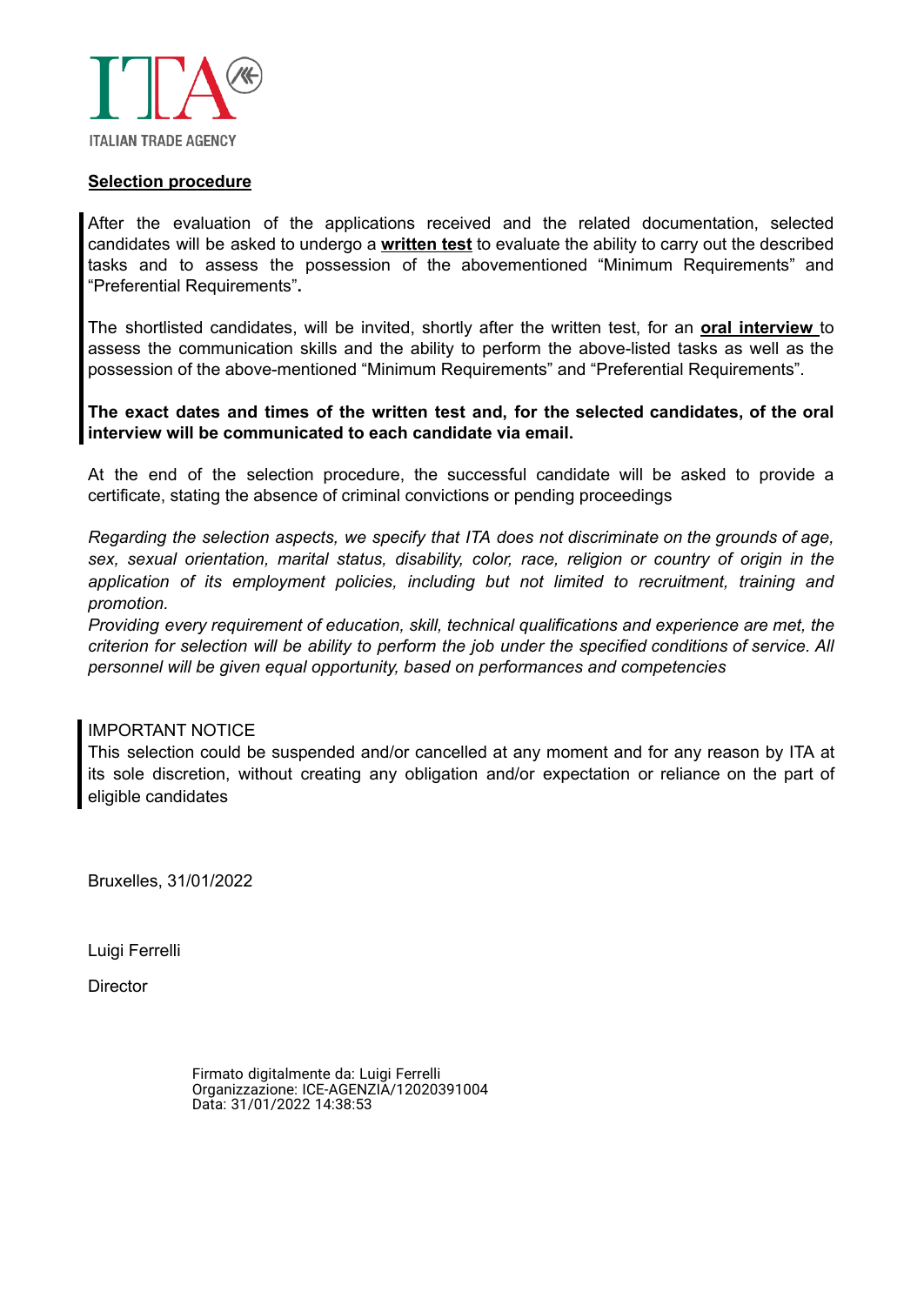

#### **Selection procedure**

After the evaluation of the applications received and the related documentation, selected candidates will be asked to undergo a **written test** to evaluate the ability to carry out the described tasks and to assess the possession of the abovementioned "Minimum Requirements" and "Preferential Requirements"**.**

The shortlisted candidates, will be invited, shortly after the written test, for an **oral interview** to assess the communication skills and the ability to perform the above-listed tasks as well as the possession of the above-mentioned "Minimum Requirements" and "Preferential Requirements".

**The exact dates and times of the written test and, for the selected candidates, of the oral interview will be communicated to each candidate via email.**

At the end of the selection procedure, the successful candidate will be asked to provide a certificate, stating the absence of criminal convictions or pending proceedings

*Regarding the selection aspects, we specify that ITA does not discriminate on the grounds of age, sex, sexual orientation, marital status, disability, color, race, religion or country of origin in the application of its employment policies, including but not limited to recruitment, training and promotion.*

*Providing every requirement of education, skill, technical qualifications and experience are met, the criterion for selection will be ability to perform the job under the specified conditions of service. All personnel will be given equal opportunity, based on performances and competencies*

#### IMPORTANT NOTICE

This selection could be suspended and/or cancelled at any moment and for any reason by ITA at its sole discretion, without creating any obligation and/or expectation or reliance on the part of eligible candidates

Bruxelles, 31/01/2022

Luigi Ferrelli

**Director** 

Firmato digitalmente da: Luigi Ferrelli Organizzazione: ICE-AGENZIA/12020391004 Data: 31/01/2022 14:38:53